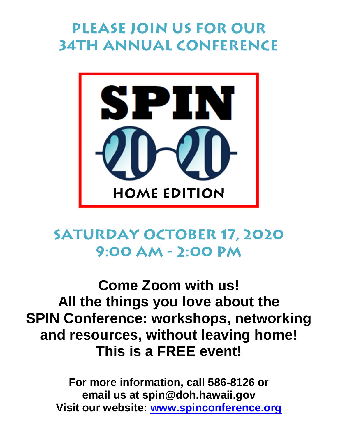# **Please join us for our 34th annual conference**



### **Saturday October 17, 2020 9:00 am - 2:00 pm**

## **Come Zoom with us! All the things you love about the SPIN Conference: workshops, networking and resources, without leaving home! This is a FREE event!**

**For more information, call 586-8126 or email us at spin@doh.hawaii.gov Visit our website: [www.spinconference.org](http://www.spinconference.org/)**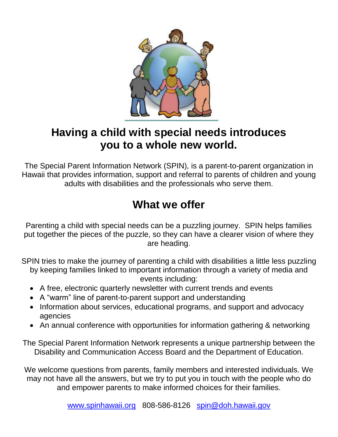

#### **Having a child with special needs introduces you to a whole new world.**

The Special Parent Information Network (SPIN), is a parent-to-parent organization in Hawaii that provides information, support and referral to parents of children and young adults with disabilities and the professionals who serve them.

#### **What we offer**

Parenting a child with special needs can be a puzzling journey. SPIN helps families put together the pieces of the puzzle, so they can have a clearer vision of where they are heading.

SPIN tries to make the journey of parenting a child with disabilities a little less puzzling by keeping families linked to important information through a variety of media and events including:

- A free, electronic quarterly newsletter with current trends and events
- A "warm" line of parent-to-parent support and understanding
- Information about services, educational programs, and support and advocacy agencies
- An annual conference with opportunities for information gathering & networking

The Special Parent Information Network represents a unique partnership between the Disability and Communication Access Board and the Department of Education.

We welcome questions from parents, family members and interested individuals. We may not have all the answers, but we try to put you in touch with the people who do and empower parents to make informed choices for their families.